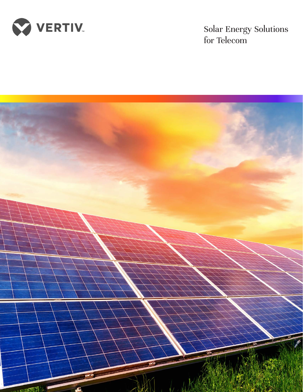

Solar Energy Solutions for Telecom

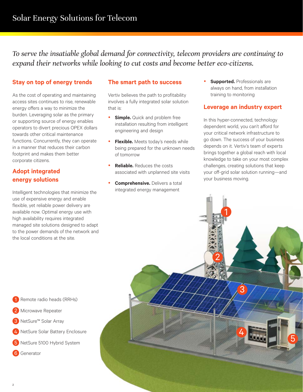*To serve the insatiable global demand for connectivity, telecom providers are continuing to expand their networks while looking to cut costs and become better eco-citizens.* 

## **Stay on top of energy trends**

As the cost of operating and maintaining access sites continues to rise, renewable energy offers a way to minimize the burden. Leveraging solar as the primary or supporting source of energy enables operators to divert precious OPEX dollars towards other critical maintenance functions. Concurrently, they can operate in a manner that reduces their carbon footprint and makes them better corporate citizens.

## **Adopt integrated energy solutions**

Intelligent technologies that minimize the use of expensive energy and enable flexible, yet reliable power delivery are available now. Optimal energy use with high availability requires integrated managed site solutions designed to adapt to the power demands of the network and the local conditions at the site.

Remote radio heads (RRHs)

Microwave Repeater

NetSure™ Solar Array

**Generator** 

## **The smart path to success**

Vertiv believes the path to profitability involves a fully integrated solar solution that is:

- **Simple.** Quick and problem free installation resulting from intelligent engineering and design
- Flexible. Meets today's needs while being prepared for the unknown needs of tomorrow
- **Reliable.** Reduces the costs associated with unplanned site visits
- **Comprehensive.** Delivers a total integrated energy management

**• Supported.** Professionals are always on hand, from installation training to monitoring

## **Leverage an industry expert**

In this hyper-connected, technology dependent world, you can't afford for your critical network infrastructure to go down. The success of your business depends on it. Vertiv's team of experts brings together a global reach with local knowledge to take on your most complex challenges, creating solutions that keep your off-grid solar solution running—and your business moving.

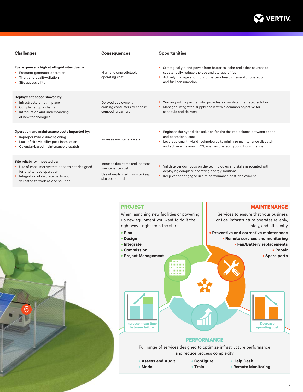

| <b>Challenges</b>                                                                                                                                                                     | <b>Consequences</b>                                                                                      | <b>Opportunities</b>                                                                                                                                                                                                                                  |
|---------------------------------------------------------------------------------------------------------------------------------------------------------------------------------------|----------------------------------------------------------------------------------------------------------|-------------------------------------------------------------------------------------------------------------------------------------------------------------------------------------------------------------------------------------------------------|
| Fuel expense is high at off-grid sites due to:<br>• Frequent generator operation<br>• Theft and quality/dilution<br>• Site accessibility                                              | High and unpredictable<br>operating cost                                                                 | Strategically blend power from batteries, solar and other sources to<br>substantially reduce the use and storage of fuel<br>Actively manage and monitor battery health, generator operation,<br>and fuel consumption                                  |
| Deployment speed slowed by:<br>• Infrastructure not in place<br>• Complex supply chains<br>• Introduction and understanding<br>of new technologies                                    | Delayed deployment,<br>causing consumers to choose<br>competing carriers                                 | Working with a partner who provides a complete integrated solution<br>Managed integrated supply chain with a common objective for<br>schedule and delivery                                                                                            |
| Operation and maintenance costs impacted by:<br>• Improper hybrid dimensioning<br>• Lack of site visibility post-installation<br>• Calendar-based maintenance dispatch                | Increase maintenance staff                                                                               | Engineer the hybrid site solution for the desired balance between capital<br>and operational cost<br>Leverage smart hybrid technologies to minimize maintenance dispatch<br>$\bullet$<br>and achieve maximum ROI, even as operating conditions change |
| Site reliability impacted by:<br>• Use of consumer system or parts not designed<br>for unattended operation<br>Integration of discrete parts not<br>validated to work as one solution | Increase downtime and increase<br>maintenance cost<br>Use of unplanned funds to keep<br>site operational | Validate vendor focus on the technologies and skills associated with<br>$\bullet$<br>deploying complete operating energy solutions<br>Keep vendor engaged in site performance post-deployment                                                         |

6



**• Remote Monitoring**